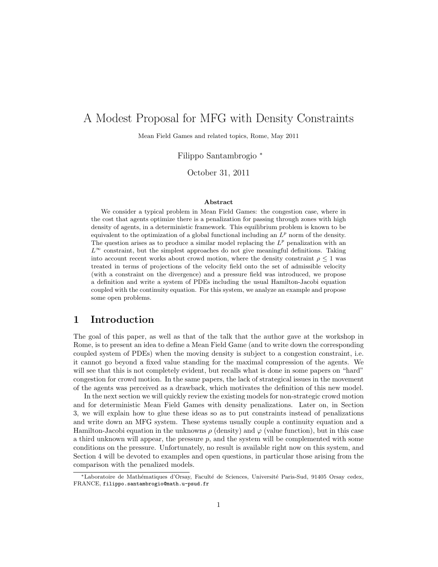# A Modest Proposal for MFG with Density Constraints

Mean Field Games and related topics, Rome, May 2011

Filippo Santambrogio <sup>∗</sup>

October 31, 2011

#### Abstract

We consider a typical problem in Mean Field Games: the congestion case, where in the cost that agents optimize there is a penalization for passing through zones with high density of agents, in a deterministic framework. This equilibrium problem is known to be equivalent to the optimization of a global functional including an  $L^p$  norm of the density. The question arises as to produce a similar model replacing the  $L^p$  penalization with an  $L^{\infty}$  constraint, but the simplest approaches do not give meaningful definitions. Taking into account recent works about crowd motion, where the density constraint  $\rho \leq 1$  was treated in terms of projections of the velocity field onto the set of admissible velocity (with a constraint on the divergence) and a pressure field was introduced, we propose a definition and write a system of PDEs including the usual Hamilton-Jacobi equation coupled with the continuity equation. For this system, we analyze an example and propose some open problems.

### 1 Introduction

The goal of this paper, as well as that of the talk that the author gave at the workshop in Rome, is to present an idea to define a Mean Field Game (and to write down the corresponding coupled system of PDEs) when the moving density is subject to a congestion constraint, i.e. it cannot go beyond a fixed value standing for the maximal compression of the agents. We will see that this is not completely evident, but recalls what is done in some papers on "hard" congestion for crowd motion. In the same papers, the lack of strategical issues in the movement of the agents was perceived as a drawback, which motivates the definition of this new model.

In the next section we will quickly review the existing models for non-strategic crowd motion and for deterministic Mean Field Games with density penalizations. Later on, in Section 3, we will explain how to glue these ideas so as to put constraints instead of penalizations and write down an MFG system. These systems usually couple a continuity equation and a Hamilton-Jacobi equation in the unknowns  $\rho$  (density) and  $\varphi$  (value function), but in this case a third unknown will appear, the pressure  $p$ , and the system will be complemented with some conditions on the pressure. Unfortunately, no result is available right now on this system, and Section 4 will be devoted to examples and open questions, in particular those arising from the comparison with the penalized models.

<sup>∗</sup>Laboratoire de Math´ematiques d'Orsay, Facult´e de Sciences, Universit´e Paris-Sud, 91405 Orsay cedex, FRANCE, filippo.santambrogio@math.u-psud.fr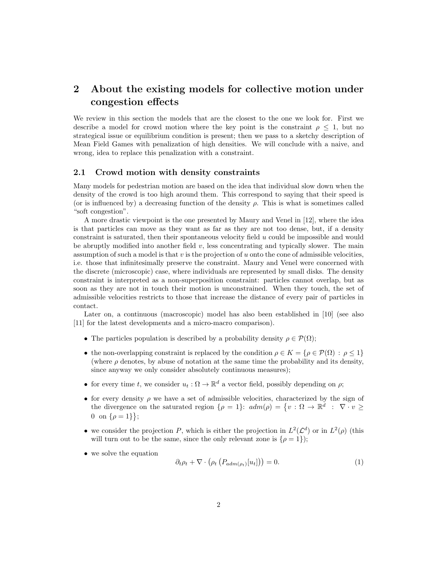## 2 About the existing models for collective motion under congestion effects

We review in this section the models that are the closest to the one we look for. First we describe a model for crowd motion where the key point is the constraint  $\rho \leq 1$ , but no strategical issue or equilibrium condition is present; then we pass to a sketchy description of Mean Field Games with penalization of high densities. We will conclude with a naive, and wrong, idea to replace this penalization with a constraint.

#### 2.1 Crowd motion with density constraints

Many models for pedestrian motion are based on the idea that individual slow down when the density of the crowd is too high around them. This correspond to saying that their speed is (or is influenced by) a decreasing function of the density  $\rho$ . This is what is sometimes called "soft congestion".

A more drastic viewpoint is the one presented by Maury and Venel in [12], where the idea is that particles can move as they want as far as they are not too dense, but, if a density constraint is saturated, then their spontaneous velocity field u could be impossible and would be abruptly modified into another field  $v$ , less concentrating and typically slower. The main assumption of such a model is that  $v$  is the projection of  $u$  onto the cone of admissible velocities, i.e. those that infinitesimally preserve the constraint. Maury and Venel were concerned with the discrete (microscopic) case, where individuals are represented by small disks. The density constraint is interpreted as a non-superposition constraint: particles cannot overlap, but as soon as they are not in touch their motion is unconstrained. When they touch, the set of admissible velocities restricts to those that increase the distance of every pair of particles in contact.

Later on, a continuous (macroscopic) model has also been established in [10] (see also [11] for the latest developments and a micro-macro comparison).

- The particles population is described by a probability density  $\rho \in \mathcal{P}(\Omega)$ ;
- the non-overlapping constraint is replaced by the condition  $\rho \in K = {\rho \in \mathcal{P}(\Omega) : \rho \leq 1}$ (where  $\rho$  denotes, by abuse of notation at the same time the probability and its density, since anyway we only consider absolutely continuous measures);
- for every time t, we consider  $u_t : \Omega \to \mathbb{R}^d$  a vector field, possibly depending on  $\rho$ ;
- for every density  $\rho$  we have a set of admissible velocities, characterized by the sign of the divergence on the saturated region  $\{\rho = 1\}$ :  $adm(\rho) = \{v : \Omega \to \mathbb{R}^d : \nabla \cdot v \geq 0\}$ 0 on  $\{\rho = 1\}$ ;
- we consider the projection P, which is either the projection in  $L^2(\mathcal{L}^d)$  or in  $L^2(\rho)$  (this will turn out to be the same, since the only relevant zone is  $\{\rho = 1\}$ ;
- we solve the equation

$$
\partial_t \rho_t + \nabla \cdot \left( \rho_t \left( P_{adm(\rho_t)}[u_t] \right) \right) = 0. \tag{1}
$$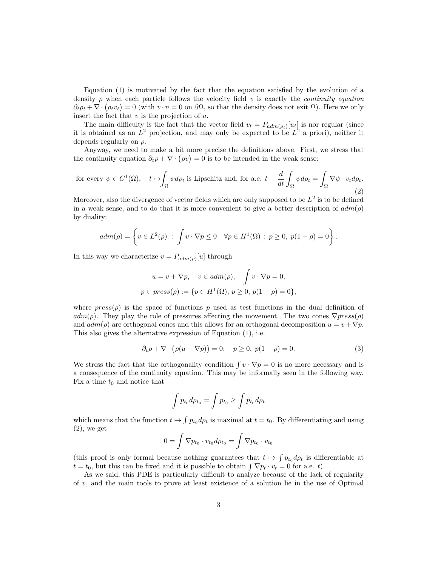Equation (1) is motivated by the fact that the equation satisfied by the evolution of a density  $\rho$  when each particle follows the velocity field v is exactly the *continuity equation*  $\partial_t \rho_t + \nabla \cdot (\rho_t v_t) = 0$  (with  $v \cdot n = 0$  on  $\partial \Omega$ , so that the density does not exit  $\Omega$ ). Here we only insert the fact that  $v$  is the projection of  $u$ .

The main difficulty is the fact that the vector field  $v_t = P_{adm(\rho_t)}[u_t]$  is nor regular (since it is obtained as an  $L^2$  projection, and may only be expected to be  $L^2$  a priori), neither it depends regularly on  $\rho$ .

Anyway, we need to make a bit more precise the definitions above. First, we stress that the continuity equation  $\partial_t \rho + \nabla \cdot (\rho v) = 0$  is to be intended in the weak sense:

for every 
$$
\psi \in C^1(\Omega)
$$
,  $t \mapsto \int_{\Omega} \psi d\rho_t$  is Lipschitz and, for a.e.  $t \frac{d}{dt} \int_{\Omega} \psi d\rho_t = \int_{\Omega} \nabla \psi \cdot v_t d\rho_t$ . (2)

Moreover, also the divergence of vector fields which are only supposed to be  $L^2$  is to be defined in a weak sense, and to do that it is more convenient to give a better description of  $\alpha dm(\rho)$ by duality:

$$
adm(\rho) = \left\{ v \in L^2(\rho) \; : \; \int v \cdot \nabla p \le 0 \quad \forall p \in H^1(\Omega) \; : \; p \ge 0, \; p(1 - \rho) = 0 \right\}.
$$

In this way we characterize  $v = P_{adm(\rho)}[u]$  through

$$
u = v + \nabla p, \quad v \in adm(\rho), \quad \int v \cdot \nabla p = 0,
$$
  

$$
p \in press(\rho) := \{ p \in H^1(\Omega), \ p \ge 0, \ p(1 - \rho) = 0 \},
$$

where  $press(\rho)$  is the space of functions p used as test functions in the dual definition of  $adm(\rho)$ . They play the role of pressures affecting the movement. The two cones  $\nabla press(\rho)$ and  $adm(\rho)$  are orthogonal cones and this allows for an orthogonal decomposition  $u = v + \nabla p$ . This also gives the alternative expression of Equation (1), i.e.

$$
\partial_t \rho + \nabla \cdot (\rho (u - \nabla p)) = 0; \quad p \ge 0, \ p(1 - \rho) = 0. \tag{3}
$$

We stress the fact that the orthogonality condition  $\int v \cdot \nabla p = 0$  is no more necessary and is a consequence of the continuity equation. This may be informally seen in the following way. Fix a time  $t_0$  and notice that

$$
\int p_{t_0} d\rho_{t_0} = \int p_{t_0} \ge \int p_{t_0} d\rho_t
$$

which means that the function  $t \mapsto \int p_{t_0} d\rho_t$  is maximal at  $t = t_0$ . By differentiating and using  $(2)$ , we get

$$
0 = \int \nabla p_{t_0} \cdot v_{t_0} d\rho_{t_0} = \int \nabla p_{t_0} \cdot v_{t_0}
$$

(this proof is only formal because nothing guarantees that  $t \mapsto \int p_{t_0} d\rho_t$  is differentiable at  $t = t_0$ , but this can be fixed and it is possible to obtain  $\int \nabla p_t \cdot v_t = 0$  for a.e. t).

As we said, this PDE is particularly difficult to analyze because of the lack of regularity of  $v$ , and the main tools to prove at least existence of a solution lie in the use of Optimal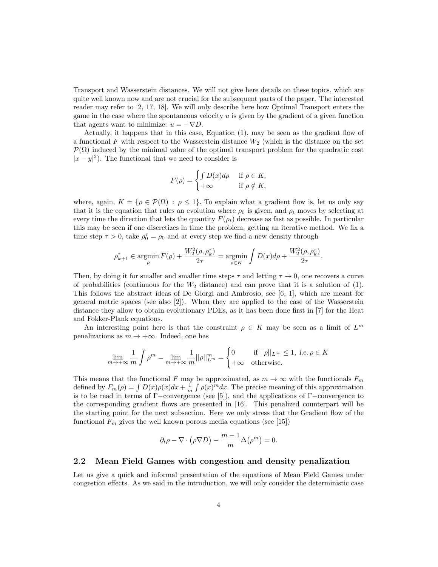Transport and Wasserstein distances. We will not give here details on these topics, which are quite well known now and are not crucial for the subsequent parts of the paper. The interested reader may refer to [2, 17, 18]. We will only describe here how Optimal Transport enters the game in the case where the spontaneous velocity  $u$  is given by the gradient of a given function that agents want to minimize:  $u = -\nabla D$ .

Actually, it happens that in this case, Equation (1), may be seen as the gradient flow of a functional F with respect to the Wasserstein distance  $W_2$  (which is the distance on the set  $\mathcal{P}(\Omega)$  induced by the minimal value of the optimal transport problem for the quadratic cost  $|x-y|^2$ ). The functional that we need to consider is

$$
F(\rho) = \begin{cases} \int D(x)d\rho & \text{if } \rho \in K, \\ +\infty & \text{if } \rho \notin K, \end{cases}
$$

where, again,  $K = \{ \rho \in \mathcal{P}(\Omega) : \rho \leq 1 \}.$  To explain what a gradient flow is, let us only say that it is the equation that rules an evolution where  $\rho_0$  is given, and  $\rho_t$  moves by selecting at every time the direction that lets the quantity  $F(\rho_t)$  decrease as fast as possible. In particular this may be seen if one discretizes in time the problem, getting an iterative method. We fix a time step  $\tau > 0$ , take  $\rho_0^{\tau} = \rho_0$  and at every step we find a new density through

$$
\rho_{k+1}^{\tau} \in \operatornamewithlimits{argmin}_{\rho} F(\rho) + \frac{W_2^2(\rho,\rho_k^{\tau})}{2\tau} = \operatornamewithlimits{argmin}_{\rho \in K} \int D(x) d\rho + \frac{W_2^2(\rho,\rho_k^{\tau})}{2\tau}.
$$

Then, by doing it for smaller and smaller time steps  $\tau$  and letting  $\tau \to 0$ , one recovers a curve of probabilities (continuous for the  $W_2$  distance) and can prove that it is a solution of (1). This follows the abstract ideas of De Giorgi and Ambrosio, see [6, 1], which are meant for general metric spaces (see also [2]). When they are applied to the case of the Wasserstein distance they allow to obtain evolutionary PDEs, as it has been done first in [7] for the Heat and Fokker-Plank equations.

An interesting point here is that the constraint  $\rho \in K$  may be seen as a limit of  $L^m$ penalizations as  $m \to +\infty$ . Indeed, one has

$$
\lim_{m \to +\infty} \frac{1}{m} \int \rho^m = \lim_{m \to +\infty} \frac{1}{m} ||\rho||_{L^m}^m = \begin{cases} 0 & \text{if } ||\rho||_{L^\infty} \le 1, \text{ i.e. } \rho \in K \\ +\infty & \text{otherwise.} \end{cases}
$$

This means that the functional F may be approximated, as  $m \to \infty$  with the functionals  $F_m$ defined by  $F_m(\rho) = \int D(x)\rho(x)dx + \frac{1}{m}\int \rho(x)^m dx$ . The precise meaning of this approximation is to be read in terms of  $\Gamma$ −convergence (see [5]), and the applications of  $\Gamma$ −convergence to the corresponding gradient flows are presented in [16]. This penalized counterpart will be the starting point for the next subsection. Here we only stress that the Gradient flow of the functional  $F_m$  gives the well known porous media equations (see [15])

$$
\partial_t \rho - \nabla \cdot (\rho \nabla D) - \frac{m-1}{m} \Delta (\rho^m) = 0.
$$

#### 2.2 Mean Field Games with congestion and density penalization

Let us give a quick and informal presentation of the equations of Mean Field Games under congestion effects. As we said in the introduction, we will only consider the deterministic case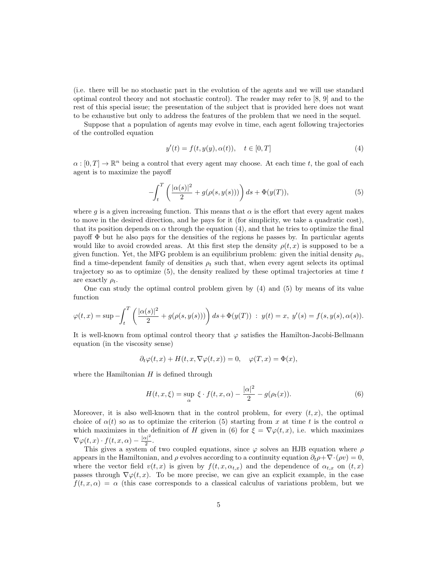(i.e. there will be no stochastic part in the evolution of the agents and we will use standard optimal control theory and not stochastic control). The reader may refer to [8, 9] and to the rest of this special issue; the presentation of the subject that is provided here does not want to be exhaustive but only to address the features of the problem that we need in the sequel.

Suppose that a population of agents may evolve in time, each agent following trajectories of the controlled equation

$$
y'(t) = f(t, y(y), \alpha(t)), \quad t \in [0, T]
$$
\n(4)

 $\alpha : [0, T] \to \mathbb{R}^n$  being a control that every agent may choose. At each time t, the goal of each agent is to maximize the payoff

$$
-\int_{t}^{T}\left(\frac{|\alpha(s)|^{2}}{2}+g(\rho(s,y(s)))\right)ds+\Phi(y(T)),
$$
\n(5)

where q is a given increasing function. This means that  $\alpha$  is the effort that every agent makes to move in the desired direction, and he pays for it (for simplicity, we take a quadratic cost), that its position depends on  $\alpha$  through the equation (4), and that he tries to optimize the final payoff  $\Phi$  but he also pays for the densities of the regions he passes by. In particular agents would like to avoid crowded areas. At this first step the density  $\rho(t, x)$  is supposed to be a given function. Yet, the MFG problem is an equilibrium problem: given the initial density  $\rho_0$ , find a time-dependent family of densities  $\rho_t$  such that, when every agent selects its optimal trajectory so as to optimize  $(5)$ , the density realized by these optimal trajectories at time t are exactly  $\rho_t$ .

One can study the optimal control problem given by (4) and (5) by means of its value function

$$
\varphi(t,x) = \sup \left( \int_t^T \left( \frac{|\alpha(s)|^2}{2} + g(\rho(s,y(s))) \right) ds + \Phi(y(T)) \; : \; y(t) = x, \; y'(s) = f(s,y(s),\alpha(s)).
$$

It is well-known from optimal control theory that  $\varphi$  satisfies the Hamilton-Jacobi-Bellmann equation (in the viscosity sense)

$$
\partial_t \varphi(t, x) + H(t, x, \nabla \varphi(t, x)) = 0, \quad \varphi(T, x) = \Phi(x),
$$

where the Hamiltonian  $H$  is defined through

$$
H(t, x, \xi) = \sup_{\alpha} \xi \cdot f(t, x, \alpha) - \frac{|\alpha|^2}{2} - g(\rho_t(x)).
$$
\n(6)

Moreover, it is also well-known that in the control problem, for every  $(t, x)$ , the optimal choice of  $\alpha(t)$  so as to optimize the criterion (5) starting from x at time t is the control  $\alpha$ which maximizes in the definition of H given in (6) for  $\xi = \nabla \varphi(t, x)$ , i.e. which maximizes  $\nabla \varphi(t,x) \cdot f(t,x,\alpha) - \frac{|\alpha|^2}{2}$  $\frac{x|^{-}}{2}$ .

This gives a system of two coupled equations, since  $\varphi$  solves an HJB equation where  $\rho$ appears in the Hamiltonian, and  $\rho$  evolves according to a continuity equation  $\partial_t \rho + \nabla \cdot (\rho v) = 0$ , where the vector field  $v(t, x)$  is given by  $f(t, x, \alpha_{t,x})$  and the dependence of  $\alpha_{t,x}$  on  $(t, x)$ passes through  $\nabla \varphi(t, x)$ . To be more precise, we can give an explicit example, in the case  $f(t, x, \alpha) = \alpha$  (this case corresponds to a classical calculus of variations problem, but we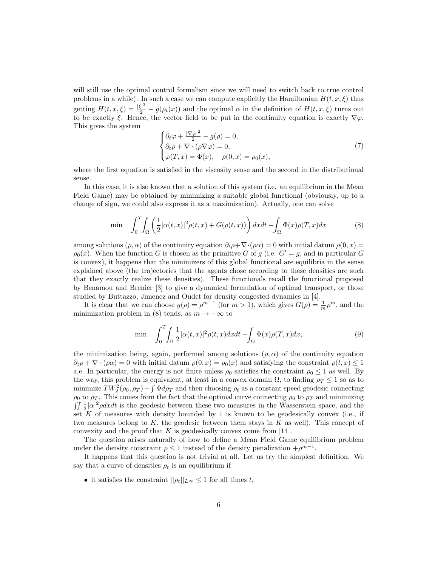will still use the optimal control formalism since we will need to switch back to true control problems in a while). In such a case we can compute explicitly the Hamiltonian  $H(t, x, \xi)$  thus getting  $H(t, x, \xi) = \frac{|\xi|^2}{2} - g(\rho_t(x))$  and the optimal  $\alpha$  in the definition of  $H(t, x, \xi)$  turns out to be exactly  $\xi$ . Hence, the vector field to be put in the continuity equation is exactly  $\nabla \varphi$ . This gives the system

$$
\begin{cases} \partial_t \varphi + \frac{|\nabla \varphi|^2}{2} - g(\rho) = 0, \\ \partial_t \rho + \nabla \cdot (\rho \nabla \varphi) = 0, \\ \varphi(T, x) = \Phi(x), \quad \rho(0, x) = \rho_0(x), \end{cases} \tag{7}
$$

where the first equation is satisfied in the viscosity sense and the second in the distributional sense.

In this case, it is also known that a solution of this system (i.e. an equilibrium in the Mean Field Game) may be obtained by minimizing a suitable global functional (obviously, up to a change of sign, we could also express it as a maximization). Actually, one can solve

$$
\min \quad \int_0^T \int_{\Omega} \left( \frac{1}{2} |\alpha(t, x)|^2 \rho(t, x) + G(\rho(t, x)) \right) dx dt - \int_{\Omega} \Phi(x) \rho(T, x) dx \tag{8}
$$

among solutions ( $\rho, \alpha$ ) of the continuity equation  $\partial_t \rho + \nabla \cdot (\rho \alpha) = 0$  with initial datum  $\rho(0, x) =$  $\rho_0(x)$ . When the function G is chosen as the primitive G of g (i.e.  $G' = g$ , and in particular G is convex), it happens that the minimizers of this global functional are equilibria in the sense explained above (the trajectories that the agents chose according to these densities are such that they exactly realize these densities). These functionals recall the functional proposed by Benamou and Brenier [3] to give a dynamical formulation of optimal transport, or those studied by Buttazzo, Jimenez and Oudet for density congested dynamics in [4].

It is clear that we can choose  $g(\rho) = \rho^{m-1}$  (for  $m > 1$ ), which gives  $G(\rho) = \frac{1}{m}\rho^m$ , and the minimization problem in (8) tends, as  $m \to +\infty$  to

$$
\min \quad \int_0^T \int_{\Omega} \frac{1}{2} |\alpha(t, x)|^2 \rho(t, x) dx dt - \int_{\Omega} \Phi(x) \rho(T, x) dx,\tag{9}
$$

the minimization being, again, performed among solutions  $(\rho, \alpha)$  of the continuity equation  $\partial_t \rho + \nabla \cdot (\rho \alpha) = 0$  with initial datum  $\rho(0, x) = \rho_0(x)$  and satisfying the constraint  $\rho(t, x) \leq 1$ a.e. In particular, the energy is not finite unless  $\rho_0$  satisfies the constraint  $\rho_0 \leq 1$  as well. By the way, this problem is equivalent, at least in a convex domain  $\Omega$ , to finding  $\rho_T \leq 1$  so as to minimize  $TW_2^2(\rho_0, \rho_T) - \int \Phi d\rho_T$  and then choosing  $\rho_t$  as a constant speed geodesic connecting  $\rho_0$  to  $\rho_T$ . This comes from the fact that the optimal curve connecting  $\rho_0$  to  $\rho_T$  and minimizing  $\int \int \frac{1}{2} |\alpha|^2 \rho dx dt$  is the geodesic between these two measures in the Wasserstein space, and the set  $K$  of measures with density bounded by 1 is known to be geodesically convex (i.e., if two measures belong to K, the geodesic between them stays in K as well). This concept of convexity and the proof that  $K$  is geodesically convex come from [14].

The question arises naturally of how to define a Mean Field Game equilibrium problem under the density constraint  $\rho \leq 1$  instead of the density penalization  $+\rho^{m-1}$ .

It happens that this question is not trivial at all. Let us try the simplest definition. We say that a curve of densities  $\rho_t$  is an equilibrium if

• it satisfies the constraint  $||\rho_t||_{L^{\infty}} \leq 1$  for all times t,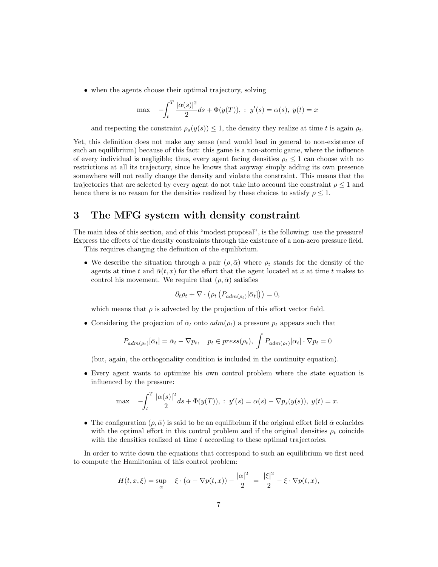• when the agents choose their optimal trajectory, solving

$$
\max \quad -\int_{t}^{T} \frac{|\alpha(s)|^{2}}{2} ds + \Phi(y(T)), \, : \, y'(s) = \alpha(s), \, y(t) = x
$$

and respecting the constraint  $\rho_s(y(s)) \leq 1$ , the density they realize at time t is again  $\rho_t$ .

Yet, this definition does not make any sense (and would lead in general to non-existence of such an equilibrium) because of this fact: this game is a non-atomic game, where the influence of every individual is negligible; thus, every agent facing densities  $\rho_t \leq 1$  can choose with no restrictions at all its trajectory, since he knows that anyway simply adding its own presence somewhere will not really change the density and violate the constraint. This means that the trajectories that are selected by every agent do not take into account the constraint  $\rho \leq 1$  and hence there is no reason for the densities realized by these choices to satisfy  $\rho \leq 1$ .

### 3 The MFG system with density constraint

The main idea of this section, and of this "modest proposal", is the following: use the pressure! Express the effects of the density constraints through the existence of a non-zero pressure field. This requires changing the definition of the equilibrium.

• We describe the situation through a pair  $(\rho, \bar{\alpha})$  where  $\rho_t$  stands for the density of the agents at time t and  $\bar{\alpha}(t, x)$  for the effort that the agent located at x at time t makes to control his movement. We require that  $(\rho, \bar{\alpha})$  satisfies

$$
\partial_t \rho_t + \nabla \cdot \left( \rho_t \left( P_{adm(\rho_t)}[\bar{\alpha}_t] \right) \right) = 0,
$$

which means that  $\rho$  is advected by the projection of this effort vector field.

• Considering the projection of  $\bar{\alpha}_t$  onto  $adm(\rho_t)$  a pressure  $p_t$  appears such that

$$
P_{adm(\rho_t)}[\bar{\alpha}_t] = \bar{\alpha}_t - \nabla p_t, \quad p_t \in press(\rho_t), \ \int P_{adm(\rho_t)}[\alpha_t] \cdot \nabla p_t = 0
$$

(but, again, the orthogonality condition is included in the continuity equation).

• Every agent wants to optimize his own control problem where the state equation is influenced by the pressure:

$$
\max \quad -\int_t^T \frac{|\alpha(s)|^2}{2} ds + \Phi(y(T)), \; : \; y'(s) = \alpha(s) - \nabla p_s(y(s)), \; y(t) = x.
$$

• The configuration  $(\rho, \bar{\alpha})$  is said to be an equilibrium if the original effort field  $\bar{\alpha}$  coincides with the optimal effort in this control problem and if the original densities  $\rho_t$  coincide with the densities realized at time  $t$  according to these optimal trajectories.

In order to write down the equations that correspond to such an equilibrium we first need to compute the Hamiltonian of this control problem:

$$
H(t, x, \xi) = \sup_{\alpha} \quad \xi \cdot (\alpha - \nabla p(t, x)) - \frac{|\alpha|^2}{2} = \frac{|\xi|^2}{2} - \xi \cdot \nabla p(t, x),
$$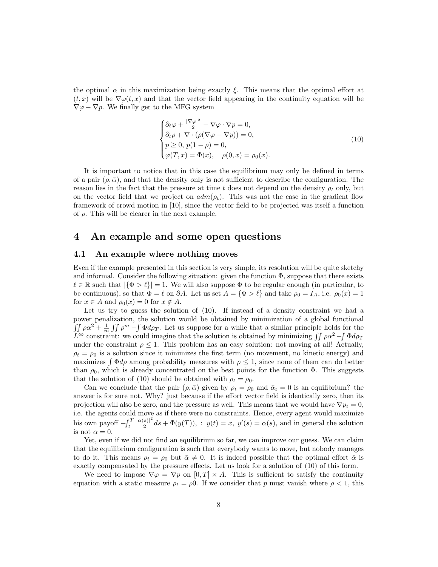the optimal  $\alpha$  in this maximization being exactly  $\xi$ . This means that the optimal effort at  $(t, x)$  will be  $\nabla \varphi(t, x)$  and that the vector field appearing in the continuity equation will be  $\nabla \varphi - \nabla p$ . We finally get to the MFG system

$$
\begin{cases} \partial_t \varphi + \frac{|\nabla \varphi|^2}{2} - \nabla \varphi \cdot \nabla p = 0, \\ \partial_t \rho + \nabla \cdot (\rho (\nabla \varphi - \nabla p)) = 0, \\ p \ge 0, \ p(1 - \rho) = 0, \\ \varphi(T, x) = \Phi(x), \quad \rho(0, x) = \rho_0(x). \end{cases} (10)
$$

It is important to notice that in this case the equilibrium may only be defined in terms of a pair  $(\rho, \bar{\alpha})$ , and that the density only is not sufficient to describe the configuration. The reason lies in the fact that the pressure at time t does not depend on the density  $\rho_t$  only, but on the vector field that we project on  $adm(\rho_t)$ . This was not the case in the gradient flow framework of crowd motion in [10], since the vector field to be projected was itself a function of  $\rho$ . This will be clearer in the next example.

### 4 An example and some open questions

### 4.1 An example where nothing moves

Even if the example presented in this section is very simple, its resolution will be quite sketchy and informal. Consider the following situation: given the function  $\Phi$ , suppose that there exists  $\ell \in \mathbb{R}$  such that  $|\{\Phi > \ell\}| = 1$ . We will also suppose  $\Phi$  to be regular enough (in particular, to be continuous), so that  $\Phi = \ell$  on  $\partial A$ . Let us set  $A = {\Phi > \ell}$  and take  $\rho_0 = I_A$ , i.e.  $\rho_0(x) = 1$ for  $x \in A$  and  $\rho_0(x) = 0$  for  $x \notin A$ .

Let us try to guess the solution of (10). If instead of a density constraint we had a power penalization, the solution would be obtained by minimization of a global functional  $\int \int \rho \alpha^2 + \frac{1}{m} \int \int \rho^m - \int \Phi d\rho_T$ . Let us suppose for a while that a similar principle holds for the  $\hat{L}^{\infty}$  constraint: we could imagine that the solution is obtained by minimizing  $\iint \rho \alpha^2 - \int \Phi d\rho_T$ under the constraint  $\rho \leq 1$ . This problem has an easy solution: not moving at all! Actually,  $\rho_t = \rho_0$  is a solution since it minimizes the first term (no movement, no kinetic energy) and maximizes  $\int \Phi d\rho$  among probability measures with  $\rho \leq 1$ , since none of them can do better than  $\rho_0$ , which is already concentrated on the best points for the function  $\Phi$ . This suggests that the solution of (10) should be obtained with  $\rho_t = \rho_0$ .

Can we conclude that the pair  $(\rho, \bar{\alpha})$  given by  $\rho_t = \rho_0$  and  $\bar{\alpha}_t = 0$  is an equilibrium? the answer is for sure not. Why? just because if the effort vector field is identically zero, then its projection will also be zero, and the pressure as well. This means that we would have  $\nabla p_t = 0$ , i.e. the agents could move as if there were no constraints. Hence, every agent would maximize his own payoff  $-\int_t^T$  $|\alpha(s)|^2$  $\frac{s}{2}$   $ds + \Phi(y(T))$ , :  $y(t) = x$ ,  $y'(s) = \alpha(s)$ , and in general the solution is not  $\alpha = 0$ .

Yet, even if we did not find an equilibrium so far, we can improve our guess. We can claim that the equilibrium configuration is such that everybody wants to move, but nobody manages to do it. This means  $\rho_t = \rho_0$  but  $\bar{\alpha} \neq 0$ . It is indeed possible that the optimal effort  $\bar{\alpha}$  is exactly compensated by the pressure effects. Let us look for a solution of (10) of this form.

We need to impose  $\nabla \varphi = \nabla p$  on  $[0, T] \times A$ . This is sufficient to satisfy the continuity equation with a static measure  $\rho_t = \rho 0$ . If we consider that p must vanish where  $\rho < 1$ , this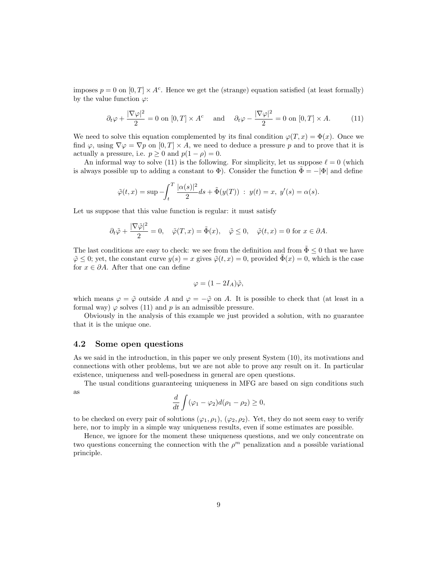imposes  $p = 0$  on  $[0, T] \times A^c$ . Hence we get the (strange) equation satisfied (at least formally) by the value function  $\varphi$ :

$$
\partial_t \varphi + \frac{|\nabla \varphi|^2}{2} = 0 \text{ on } [0, T] \times A^c \quad \text{and} \quad \partial_t \varphi - \frac{|\nabla \varphi|^2}{2} = 0 \text{ on } [0, T] \times A. \tag{11}
$$

We need to solve this equation complemented by its final condition  $\varphi(T, x) = \Phi(x)$ . Once we find  $\varphi$ , using  $\nabla \varphi = \nabla p$  on  $[0, T] \times A$ , we need to deduce a pressure p and to prove that it is actually a pressure, i.e.  $p \ge 0$  and  $p(1 - \rho) = 0$ .

An informal way to solve (11) is the following. For simplicity, let us suppose  $\ell = 0$  (which is always possible up to adding a constant to  $\Phi$ ). Consider the function  $\Phi = -|\Phi|$  and define

$$
\tilde{\varphi}(t,x) = \sup \left(-\int_t^T \frac{|\alpha(s)|^2}{2} ds + \tilde{\Phi}(y(T)) \right) : y(t) = x, y'(s) = \alpha(s).
$$

Let us suppose that this value function is regular: it must satisfy

$$
\partial_t \tilde{\varphi} + \frac{|\nabla \tilde{\varphi}|^2}{2} = 0
$$
,  $\tilde{\varphi}(T, x) = \tilde{\Phi}(x)$ ,  $\tilde{\varphi} \leq 0$ ,  $\tilde{\varphi}(t, x) = 0$  for  $x \in \partial A$ .

The last conditions are easy to check: we see from the definition and from  $\tilde{\Phi} \leq 0$  that we have  $\tilde{\varphi} \leq 0$ ; yet, the constant curve  $y(s) = x$  gives  $\tilde{\varphi}(t, x) = 0$ , provided  $\tilde{\Phi}(x) = 0$ , which is the case for  $x \in \partial A$ . After that one can define

$$
\varphi = (1 - 2I_A)\tilde{\varphi},
$$

which means  $\varphi = \tilde{\varphi}$  outside A and  $\varphi = -\tilde{\varphi}$  on A. It is possible to check that (at least in a formal way)  $\varphi$  solves (11) and p is an admissible pressure.

Obviously in the analysis of this example we just provided a solution, with no guarantee that it is the unique one.

#### 4.2 Some open questions

As we said in the introduction, in this paper we only present System (10), its motivations and connections with other problems, but we are not able to prove any result on it. In particular existence, uniqueness and well-posedness in general are open questions.

The usual conditions guaranteeing uniqueness in MFG are based on sign conditions such as

$$
\frac{d}{dt}\int (\varphi_1-\varphi_2)d(\rho_1-\rho_2)\geq 0,
$$

to be checked on every pair of solutions  $(\varphi_1, \rho_1), (\varphi_2, \rho_2)$ . Yet, they do not seem easy to verify here, nor to imply in a simple way uniqueness results, even if some estimates are possible.

Hence, we ignore for the moment these uniqueness questions, and we only concentrate on two questions concerning the connection with the  $\rho^m$  penalization and a possible variational principle.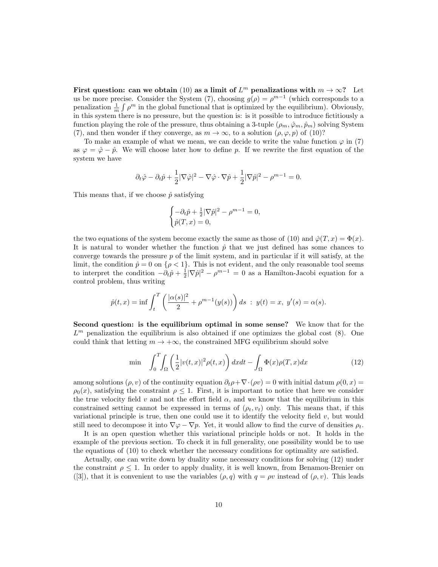First question: can we obtain (10) as a limit of  $L^m$  penalizations with  $m \to \infty$ ? Let us be more precise. Consider the System (7), choosing  $g(\rho) = \rho^{m-1}$  (which corresponds to a penalization  $\frac{1}{m} \int \rho^m$  in the global functional that is optimized by the equilibrium). Obviously, in this system there is no pressure, but the question is: is it possible to introduce fictitiously a function playing the role of the pressure, thus obtaining a 3-tuple  $(\rho_m, \hat{\varphi}_m, \hat{p}_m)$  solving System (7), and then wonder if they converge, as  $m \to \infty$ , to a solution  $(\rho, \varphi, p)$  of (10)?

To make an example of what we mean, we can decide to write the value function  $\varphi$  in (7) as  $\varphi = \hat{\varphi} - \hat{p}$ . We will choose later how to define p. If we rewrite the first equation of the system we have

$$
\partial_t \hat{\varphi} - \partial_t \hat{p} + \frac{1}{2} |\nabla \hat{\varphi}|^2 - \nabla \hat{\varphi} \cdot \nabla \hat{p} + \frac{1}{2} |\nabla \hat{p}|^2 - \rho^{m-1} = 0.
$$

This means that, if we choose  $\hat{p}$  satisfying

$$
\begin{cases}\n-\partial_t \hat{p} + \frac{1}{2} |\nabla \hat{p}|^2 - \rho^{m-1} = 0, \\
\hat{p}(T, x) = 0,\n\end{cases}
$$

the two equations of the system become exactly the same as those of (10) and  $\hat{\varphi}(T, x) = \Phi(x)$ . It is natural to wonder whether the function  $\hat{p}$  that we just defined has some chances to converge towards the pressure  $p$  of the limit system, and in particular if it will satisfy, at the limit, the condition  $\hat{p} = 0$  on  $\{\rho < 1\}$ . This is not evident, and the only reasonable tool seems to interpret the condition  $-\partial_t \hat{p} + \frac{1}{2} |\nabla \hat{p}|^2 - \rho^{m-1} = 0$  as a Hamilton-Jacobi equation for a control problem, thus writing

$$
\hat{p}(t,x) = \inf \int_t^T \left( \frac{|\alpha(s)|^2}{2} + \rho^{m-1}(y(s)) \right) ds : y(t) = x, y'(s) = \alpha(s).
$$

Second question: is the equilibrium optimal in some sense? We know that for the  $L<sup>m</sup>$  penalization the equilibrium is also obtained if one optimizes the global cost  $(8)$ . One could think that letting  $m \to +\infty$ , the constrained MFG equilibrium should solve

$$
\min \quad \int_0^T \int_{\Omega} \left( \frac{1}{2} |v(t,x)|^2 \rho(t,x) \right) dx dt - \int_{\Omega} \Phi(x) \rho(T,x) dx \tag{12}
$$

among solutions ( $\rho, v$ ) of the continuity equation  $\partial_t \rho + \nabla \cdot (\rho v) = 0$  with initial datum  $\rho(0, x) =$  $\rho_0(x)$ , satisfying the constraint  $\rho \leq 1$ . First, it is important to notice that here we consider the true velocity field v and not the effort field  $\alpha$ , and we know that the equilibrium in this constrained setting cannot be expressed in terms of  $(\rho_t, v_t)$  only. This means that, if this variational principle is true, then one could use it to identify the velocity field  $v$ , but would still need to decompose it into  $\nabla \varphi - \nabla p$ . Yet, it would allow to find the curve of densities  $\rho_t$ .

It is an open question whether this variational principle holds or not. It holds in the example of the previous section. To check it in full generality, one possibility would be to use the equations of (10) to check whether the necessary conditions for optimality are satisfied.

Actually, one can write down by duality some necessary conditions for solving (12) under the constraint  $\rho \leq 1$ . In order to apply duality, it is well known, from Benamou-Brenier on ([3]), that it is convenient to use the variables  $(\rho, q)$  with  $q = \rho v$  instead of  $(\rho, v)$ . This leads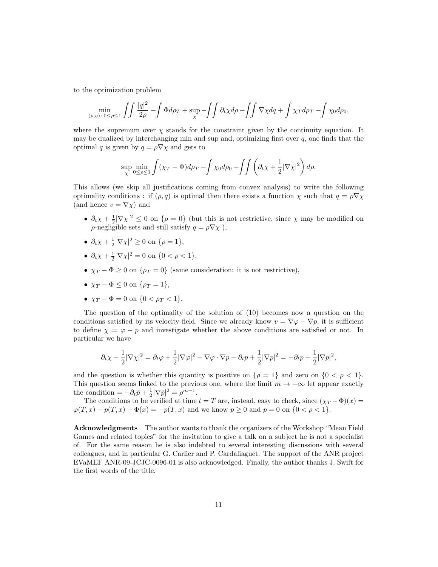to the optimization problem

$$
\min_{(\rho,q):\,0\leq\rho\leq 1}\iint\frac{|q|^2}{2\rho}-\int\Phi d\rho_T+\sup_{\chi}\,-\iint\partial_t\chi d\rho-\iint\nabla\chi d q+\int\chi_T d\rho_T-\int\chi_0 d\rho_0,
$$

where the supremum over  $\chi$  stands for the constraint given by the continuity equation. It may be dualized by interchanging min and sup and, optimizing first over  $q$ , one finds that the optimal q is given by  $q = \rho \nabla \chi$  and gets to

$$
\sup_{\chi} \min_{0 \le \rho \le 1} \int (\chi_T - \Phi) d\rho_T - \int \chi_0 d\rho_0 - \int \int \left( \partial_t \chi + \frac{1}{2} |\nabla \chi|^2 \right) d\rho.
$$

This allows (we skip all justifications coming from convex analysis) to write the following optimality conditions : if  $(\rho, q)$  is optimal then there exists a function  $\chi$  such that  $q = \rho \nabla \chi$ (and hence  $v = \nabla \chi$ ) and

- $\partial_t \chi + \frac{1}{2} |\nabla \chi|^2 \leq 0$  on  $\{\rho = 0\}$  (but this is not restrictive, since  $\chi$  may be modified on  $\rho$ -negligible sets and still satisfy  $q = \rho \nabla \chi$ ),
- $\partial_t \chi + \frac{1}{2} |\nabla \chi|^2 \ge 0$  on  $\{\rho = 1\},\$
- $\partial_t \chi + \frac{1}{2} |\nabla \chi|^2 = 0$  on  $\{0 < \rho < 1\},\$
- $\chi_T \Phi \geq 0$  on  $\{\rho_T = 0\}$  (same consideration: it is not restrictive),
- $\chi_T \Phi \leq 0$  on  $\{\rho_T = 1\},\$
- $\chi_T \Phi = 0$  on  $\{0 < \rho_T < 1\}.$

The question of the optimality of the solution of (10) becomes now a question on the conditions satisfied by its velocity field. Since we already know  $v = \nabla \varphi - \nabla p$ , it is sufficient to define  $\chi = \varphi - p$  and investigate whether the above conditions are satisfied or not. In particular we have

$$
\partial_t \chi + \frac{1}{2} |\nabla \chi|^2 = \partial_t \varphi + \frac{1}{2} |\nabla \varphi|^2 - \nabla \varphi \cdot \nabla p - \partial_t p + \frac{1}{2} |\nabla p|^2 = -\partial_t p + \frac{1}{2} |\nabla p|^2,
$$

and the question is whether this quantity is positive on  $\{\rho = 1\}$  and zero on  $\{0 < \rho < 1\}$ . This question seems linked to the previous one, where the limit  $m \to +\infty$  let appear exactly the condition =  $-\partial_t \hat{p} + \frac{1}{2} |\nabla \hat{p}|^2 = \rho^{m-1}$ .

The conditions to be verified at time  $t = T$  are, instead, easy to check, since  $(\chi_T - \Phi)(x) =$  $\varphi(T, x) - p(T, x) - \Phi(x) = -p(T, x)$  and we know  $p \ge 0$  and  $p = 0$  on  $\{0 < \rho < 1\}.$ 

Acknowledgments The author wants to thank the organizers of the Workshop "Mean Field Games and related topics" for the invitation to give a talk on a subject he is not a specialist of. For the same reason he is also indebted to several interesting discussions with several colleagues, and in particular G. Carlier and P. Cardaliaguet. The support of the ANR project EVaMEF ANR-09-JCJC-0096-01 is also acknowledged. Finally, the author thanks J. Swift for the first words of the title.